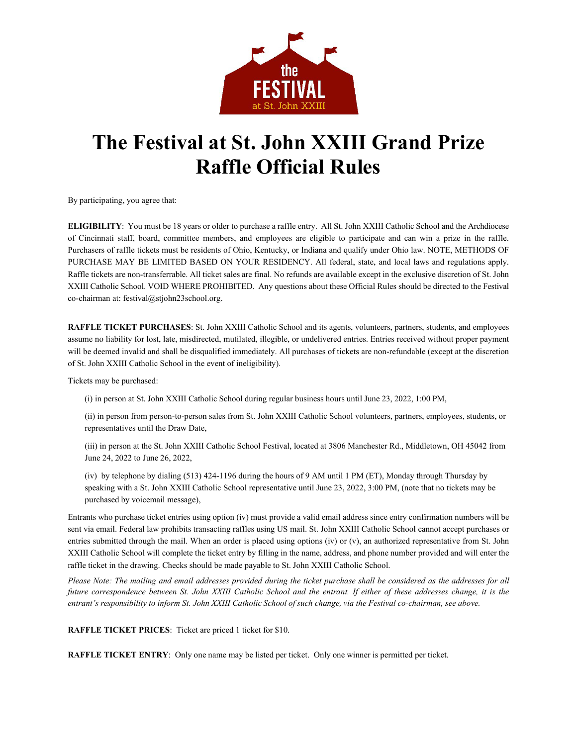

## **The Festival at St. John XXIII Grand Prize Raffle Official Rules**

By participating, you agree that:

**ELIGIBILITY**: You must be 18 years or older to purchase a raffle entry. All St. John XXIII Catholic School and the Archdiocese of Cincinnati staff, board, committee members, and employees are eligible to participate and can win a prize in the raffle. Purchasers of raffle tickets must be residents of Ohio, Kentucky, or Indiana and qualify under Ohio law. NOTE, METHODS OF PURCHASE MAY BE LIMITED BASED ON YOUR RESIDENCY. All federal, state, and local laws and regulations apply. Raffle tickets are non-transferrable. All ticket sales are final. No refunds are available except in the exclusive discretion of St. John XXIII Catholic School. VOID WHERE PROHIBITED. Any questions about these Official Rules should be directed to the Festival co-chairman at[: festival@stjohn23school.org.](mailto:festival@stjohn23school.org)

**RAFFLE TICKET PURCHASES**: St. John XXIII Catholic School and its agents, volunteers, partners, students, and employees assume no liability for lost, late, misdirected, mutilated, illegible, or undelivered entries. Entries received without proper payment will be deemed invalid and shall be disqualified immediately. All purchases of tickets are non-refundable (except at the discretion of St. John XXIII Catholic School in the event of ineligibility).

Tickets may be purchased:

(i) in person at St. John XXIII Catholic School during regular business hours until June 23, 2022, 1:00 PM,

(ii) in person from person-to-person sales from St. John XXIII Catholic School volunteers, partners, employees, students, or representatives until the Draw Date,

(iii) in person at the St. John XXIII Catholic School Festival, located at 3806 Manchester Rd., Middletown, OH 45042 from June 24, 2022 to June 26, 2022,

(iv) by telephone by dialing (513) 424-1196 during the hours of 9 AM until 1 PM (ET), Monday through Thursday by speaking with a St. John XXIII Catholic School representative until June 23, 2022, 3:00 PM, (note that no tickets may be purchased by voicemail message),

Entrants who purchase ticket entries using option (iv) must provide a valid email address since entry confirmation numbers will be sent via email. Federal law prohibits transacting raffles using US mail. St. John XXIII Catholic School cannot accept purchases or entries submitted through the mail. When an order is placed using options (iv) or (v), an authorized representative from St. John XXIII Catholic School will complete the ticket entry by filling in the name, address, and phone number provided and will enter the raffle ticket in the drawing. Checks should be made payable to St. John XXIII Catholic School.

*Please Note: The mailing and email addresses provided during the ticket purchase shall be considered as the addresses for all future correspondence between St. John XXIII Catholic School and the entrant. If either of these addresses change, it is the entrant's responsibility to inform St. John XXIII Catholic School of such change, via the Festival co-chairman, see above.*

**RAFFLE TICKET PRICES**: Ticket are priced 1 ticket for \$10.

**RAFFLE TICKET ENTRY**: Only one name may be listed per ticket. Only one winner is permitted per ticket.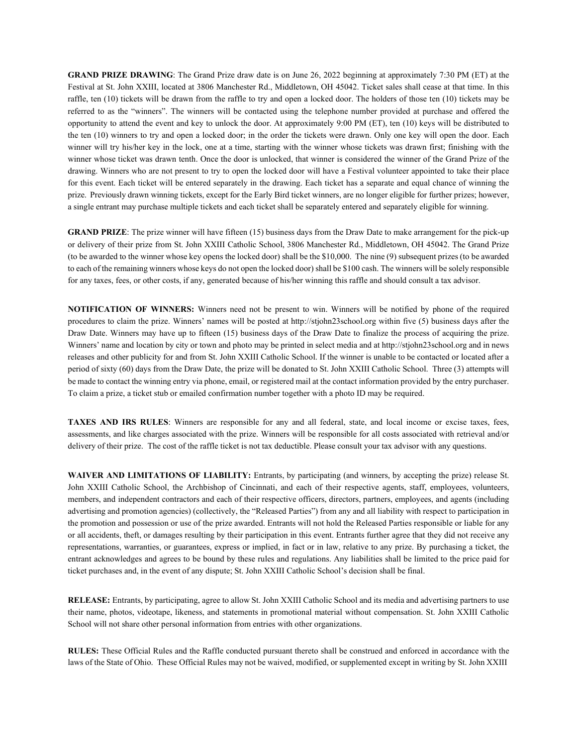**GRAND PRIZE DRAWING**: The Grand Prize draw date is on June 26, 2022 beginning at approximately 7:30 PM (ET) at the Festival at St. John XXIII, located at 3806 Manchester Rd., Middletown, OH 45042. Ticket sales shall cease at that time. In this raffle, ten (10) tickets will be drawn from the raffle to try and open a locked door. The holders of those ten (10) tickets may be referred to as the "winners". The winners will be contacted using the telephone number provided at purchase and offered the opportunity to attend the event and key to unlock the door. At approximately 9:00 PM (ET), ten (10) keys will be distributed to the ten (10) winners to try and open a locked door; in the order the tickets were drawn. Only one key will open the door. Each winner will try his/her key in the lock, one at a time, starting with the winner whose tickets was drawn first; finishing with the winner whose ticket was drawn tenth. Once the door is unlocked, that winner is considered the winner of the Grand Prize of the drawing. Winners who are not present to try to open the locked door will have a Festival volunteer appointed to take their place for this event. Each ticket will be entered separately in the drawing. Each ticket has a separate and equal chance of winning the prize. Previously drawn winning tickets, except for the Early Bird ticket winners, are no longer eligible for further prizes; however, a single entrant may purchase multiple tickets and each ticket shall be separately entered and separately eligible for winning.

**GRAND PRIZE**: The prize winner will have fifteen (15) business days from the Draw Date to make arrangement for the pick-up or delivery of their prize from St. John XXIII Catholic School, 3806 Manchester Rd., Middletown, OH 45042. The Grand Prize (to be awarded to the winner whose key opens the locked door) shall be the \$10,000. The nine (9) subsequent prizes (to be awarded to each of the remaining winners whose keys do not open the locked door) shall be \$100 cash. The winners will be solely responsible for any taxes, fees, or other costs, if any, generated because of his/her winning this raffle and should consult a tax advisor.

**NOTIFICATION OF WINNERS:** Winners need not be present to win. Winners will be notified by phone of the required procedures to claim the prize. Winners' names will be posted at [http://stjohn23school.org w](http://stjohn23school.org/)ithin five (5) business days after the Draw Date. Winners may have up to fifteen (15) business days of the Draw Date to finalize the process of acquiring the prize. Winners' name and location by city or town and photo may be printed in select media and at [http://stjohn23school.org](http://stjohn23school.org/) and in news releases and other publicity for and from St. John XXIII Catholic School. If the winner is unable to be contacted or located after a period of sixty (60) days from the Draw Date, the prize will be donated to St. John XXIII Catholic School. Three (3) attempts will be made to contact the winning entry via phone, email, or registered mail at the contact information provided by the entry purchaser. To claim a prize, a ticket stub or emailed confirmation number together with a photo ID may be required.

**TAXES AND IRS RULES**: Winners are responsible for any and all federal, state, and local income or excise taxes, fees, assessments, and like charges associated with the prize. Winners will be responsible for all costs associated with retrieval and/or delivery of their prize. The cost of the raffle ticket is not tax deductible. Please consult your tax advisor with any questions.

**WAIVER AND LIMITATIONS OF LIABILITY:** Entrants, by participating (and winners, by accepting the prize) release St. John XXIII Catholic School, the Archbishop of Cincinnati, and each of their respective agents, staff, employees, volunteers, members, and independent contractors and each of their respective officers, directors, partners, employees, and agents (including advertising and promotion agencies) (collectively, the "Released Parties") from any and all liability with respect to participation in the promotion and possession or use of the prize awarded. Entrants will not hold the Released Parties responsible or liable for any or all accidents, theft, or damages resulting by their participation in this event. Entrants further agree that they did not receive any representations, warranties, or guarantees, express or implied, in fact or in law, relative to any prize. By purchasing a ticket, the entrant acknowledges and agrees to be bound by these rules and regulations. Any liabilities shall be limited to the price paid for ticket purchases and, in the event of any dispute; St. John XXIII Catholic School's decision shall be final.

**RELEASE:** Entrants, by participating, agree to allow St. John XXIII Catholic School and its media and advertising partners to use their name, photos, videotape, likeness, and statements in promotional material without compensation. St. John XXIII Catholic School will not share other personal information from entries with other organizations.

**RULES:** These Official Rules and the Raffle conducted pursuant thereto shall be construed and enforced in accordance with the laws of the State of Ohio. These Official Rules may not be waived, modified, or supplemented except in writing by St. John XXIII